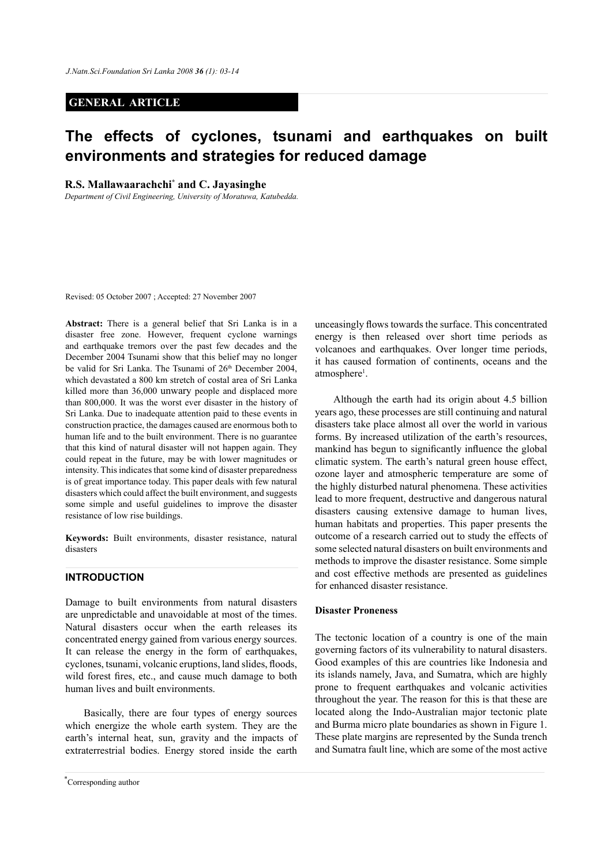# **GENERAL ARTICLE**

# **The effects of cyclones, tsunami and earthquakes on built environments and strategies for reduced damage**

**R.S. Mallawaarachchi\* and C. Jayasinghe**

*Department of Civil Engineering, University of Moratuwa, Katubedda.* 

Revised: 05 October 2007 ; Accepted: 27 November 2007

**Abstract:** There is a general belief that Sri Lanka is in a disaster free zone. However, frequent cyclone warnings and earthquake tremors over the past few decades and the December 2004 Tsunami show that this belief may no longer be valid for Sri Lanka. The Tsunami of 26<sup>th</sup> December 2004, which devastated a 800 km stretch of costal area of Sri Lanka killed more than 36,000 unwary people and displaced more than 800,000. It was the worst ever disaster in the history of Sri Lanka. Due to inadequate attention paid to these events in construction practice, the damages caused are enormous both to human life and to the built environment. There is no guarantee that this kind of natural disaster will not happen again. They could repeat in the future, may be with lower magnitudes or intensity. This indicates that some kind of disaster preparedness is of great importance today. This paper deals with few natural disasters which could affect the built environment, and suggests some simple and useful guidelines to improve the disaster resistance of low rise buildings.

**Keywords:** Built environments, disaster resistance, natural disasters

# **INTRODUCTION**

Damage to built environments from natural disasters are unpredictable and unavoidable at most of the times. Natural disasters occur when the earth releases its concentrated energy gained from various energy sources. It can release the energy in the form of earthquakes, cyclones, tsunami, volcanic eruptions, land slides, floods, wild forest fires, etc., and cause much damage to both human lives and built environments.

Basically, there are four types of energy sources which energize the whole earth system. They are the earth's internal heat, sun, gravity and the impacts of extraterrestrial bodies. Energy stored inside the earth

unceasingly flows towards the surface. This concentrated energy is then released over short time periods as volcanoes and earthquakes. Over longer time periods, it has caused formation of continents, oceans and the atmosphere<sup>1</sup>.

Although the earth had its origin about 4.5 billion years ago, these processes are still continuing and natural disasters take place almost all over the world in various forms. By increased utilization of the earth's resources, mankind has begun to significantly influence the global climatic system. The earth's natural green house effect, ozone layer and atmospheric temperature are some of the highly disturbed natural phenomena. These activities lead to more frequent, destructive and dangerous natural disasters causing extensive damage to human lives, human habitats and properties. This paper presents the outcome of a research carried out to study the effects of some selected natural disasters on built environments and methods to improve the disaster resistance. Some simple and cost effective methods are presented as guidelines for enhanced disaster resistance.

# **Disaster Proneness**

The tectonic location of a country is one of the main governing factors of its vulnerability to natural disasters. Good examples of this are countries like Indonesia and its islands namely, Java, and Sumatra, which are highly prone to frequent earthquakes and volcanic activities throughout the year. The reason for this is that these are located along the Indo-Australian major tectonic plate and Burma micro plate boundaries as shown in Figure 1. These plate margins are represented by the Sunda trench and Sumatra fault line, which are some of the most active

<sup>\*</sup> Corresponding author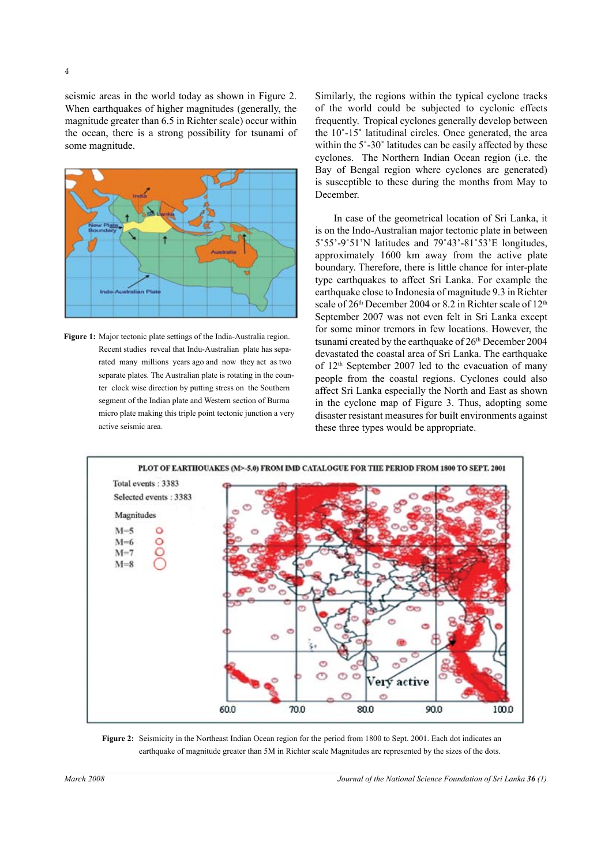*4* 

seismic areas in the world today as shown in Figure 2. When earthquakes of higher magnitudes (generally, the magnitude greater than 6.5 in Richter scale) occur within the ocean, there is a strong possibility for tsunami of some magnitude.



**Figure 1:** Major tectonic plate settings of the India-Australia region. Recent studies reveal that Indu-Australian plate has separated many millions years ago and now they act as two separate plates. The Australian plate is rotating in the counter clock wise direction by putting stress on the Southern segment of the Indian plate and Western section of Burma micro plate making this triple point tectonic junction a very active seismic area.

Similarly, the regions within the typical cyclone tracks of the world could be subjected to cyclonic effects frequently. Tropical cyclones generally develop between the 10˚-15˚ latitudinal circles. Once generated, the area within the 5˚-30˚ latitudes can be easily affected by these cyclones. The Northern Indian Ocean region (i.e. the Bay of Bengal region where cyclones are generated) is susceptible to these during the months from May to December.

In case of the geometrical location of Sri Lanka, it is on the Indo-Australian major tectonic plate in between 5˚55'-9˚51'N latitudes and 79˚43'-81˚53'E longitudes, approximately 1600 km away from the active plate boundary. Therefore, there is little chance for inter-plate type earthquakes to affect Sri Lanka. For example the earthquake close to Indonesia of magnitude 9.3 in Richter scale of 26<sup>th</sup> December 2004 or 8.2 in Richter scale of 12<sup>th</sup> September 2007 was not even felt in Sri Lanka except for some minor tremors in few locations. However, the tsunami created by the earthquake of 26<sup>th</sup> December 2004 devastated the coastal area of Sri Lanka. The earthquake of 12th September 2007 led to the evacuation of many people from the coastal regions. Cyclones could also affect Sri Lanka especially the North and East as shown in the cyclone map of Figure 3. Thus, adopting some disaster resistant measures for built environments against these three types would be appropriate.



**Figure 2:** Seismicity in the Northeast Indian Ocean region for the period from 1800 to Sept. 2001. Each dot indicates an earthquake of magnitude greater than 5M in Richter scale Magnitudes are represented by the sizes of the dots.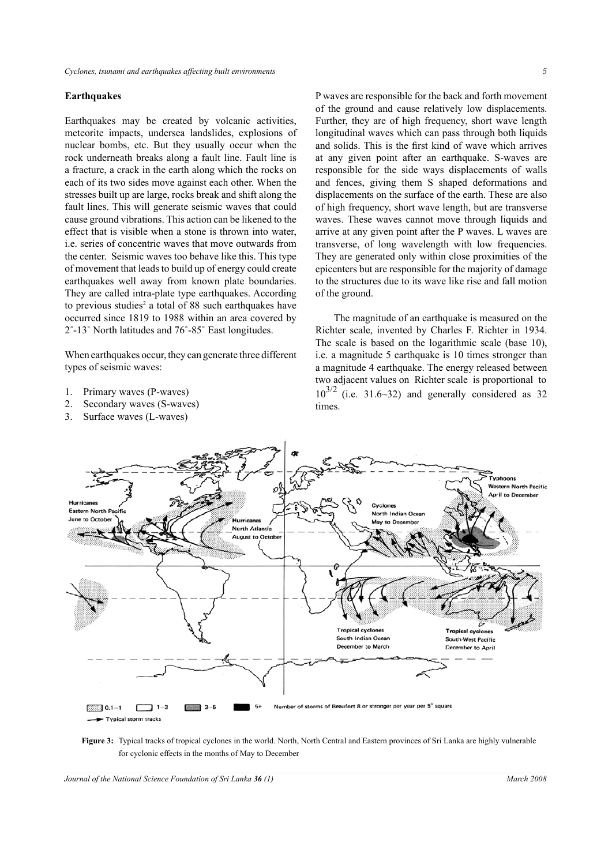#### **Earthquakes**

Earthquakes may be created by volcanic activities, meteorite impacts, undersea landslides, explosions of nuclear bombs, etc. But they usually occur when the rock underneath breaks along a fault line. Fault line is a fracture, a crack in the earth along which the rocks on each of its two sides move against each other. When the stresses built up are large, rocks break and shift along the fault lines. This will generate seismic waves that could cause ground vibrations. This action can be likened to the effect that is visible when a stone is thrown into water, i.e. series of concentric waves that move outwards from the center. Seismic waves too behave like this. This type of movement that leads to build up of energy could create earthquakes well away from known plate boundaries. They are called intra-plate type earthquakes. According to previous studies<sup>2</sup> a total of 88 such earthquakes have occurred since 1819 to 1988 within an area covered by 2˚-13˚ North latitudes and 76˚-85˚ East longitudes.

When earthquakes occur, they can generate three different types of seismic waves:

- 1. Primary waves (P-waves)
- 2. Secondary waves (S-waves)
- 3. Surface waves (L-waves)

P waves are responsible for the back and forth movement of the ground and cause relatively low displacements. Further, they are of high frequency, short wave length longitudinal waves which can pass through both liquids and solids. This is the first kind of wave which arrives at any given point after an earthquake. S-waves are responsible for the side ways displacements of walls and fences, giving them S shaped deformations and displacements on the surface of the earth. These are also of high frequency, short wave length, but are transverse waves. These waves cannot move through liquids and arrive at any given point after the P waves. L waves are transverse, of long wavelength with low frequencies. They are generated only within close proximities of the epicenters but are responsible for the majority of damage to the structures due to its wave like rise and fall motion of the ground.

The magnitude of an earthquake is measured on the Richter scale, invented by Charles F. Richter in 1934. The scale is based on the logarithmic scale (base 10), i.e. a magnitude 5 earthquake is 10 times stronger than a magnitude 4 earthquake. The energy released between two adjacent values on Richter scale is proportional to  $10^{3/2}$  (i.e. 31.6~32) and generally considered as 32 times.



**Figure 3:** Typical tracks of tropical cyclones in the world. North, North Central and Eastern provinces of Sri Lanka are highly vulnerable for cyclonic effects in the months of May to December

*Journal of the National Science Foundation of Sri Lanka* **36** (1) March 2008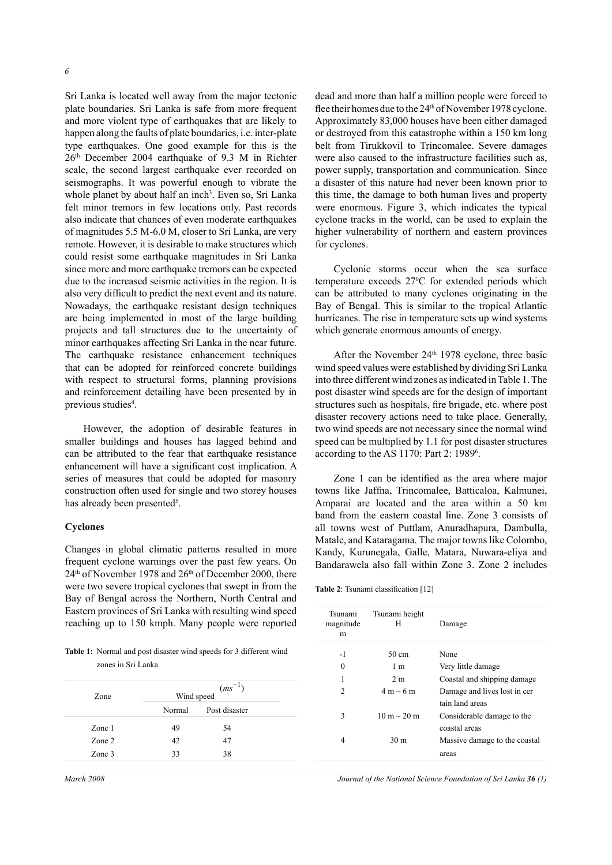Sri Lanka is located well away from the major tectonic plate boundaries. Sri Lanka is safe from more frequent and more violent type of earthquakes that are likely to happen along the faults of plate boundaries, i.e. inter-plate type earthquakes. One good example for this is the 26th December 2004 earthquake of 9.3 M in Richter scale, the second largest earthquake ever recorded on seismographs. It was powerful enough to vibrate the whole planet by about half an inch<sup>3</sup>. Even so, Sri Lanka felt minor tremors in few locations only. Past records also indicate that chances of even moderate earthquakes of magnitudes 5.5 M-6.0 M, closer to Sri Lanka, are very remote. However, it is desirable to make structures which could resist some earthquake magnitudes in Sri Lanka since more and more earthquake tremors can be expected due to the increased seismic activities in the region. It is also very difficult to predict the next event and its nature. Nowadays, the earthquake resistant design techniques are being implemented in most of the large building projects and tall structures due to the uncertainty of minor earthquakes affecting Sri Lanka in the near future. The earthquake resistance enhancement techniques that can be adopted for reinforced concrete buildings with respect to structural forms, planning provisions and reinforcement detailing have been presented by in previous studies<sup>4</sup>.

However, the adoption of desirable features in smaller buildings and houses has lagged behind and can be attributed to the fear that earthquake resistance enhancement will have a significant cost implication. A series of measures that could be adopted for masonry construction often used for single and two storey houses has already been presented<sup>5</sup>.

#### **Cyclones**

Changes in global climatic patterns resulted in more frequent cyclone warnings over the past few years. On 24<sup>th</sup> of November 1978 and 26<sup>th</sup> of December 2000, there were two severe tropical cyclones that swept in from the Bay of Bengal across the Northern, North Central and Eastern provinces of Sri Lanka with resulting wind speed reaching up to 150 kmph. Many people were reported

**Table 1:** Normal and post disaster wind speeds for 3 different wind zones in Sri Lanka

| Zone   | $(ms^{-1})$<br>Wind speed |               |  |
|--------|---------------------------|---------------|--|
|        | Normal                    | Post disaster |  |
| Zone 1 | 49                        | 54            |  |
| Zone 2 | 42                        | 47            |  |
| Zone 3 | 33                        | 38            |  |

dead and more than half a million people were forced to flee their homes due to the  $24<sup>th</sup>$  of November 1978 cyclone. Approximately 83,000 houses have been either damaged or destroyed from this catastrophe within a 150 km long belt from Tirukkovil to Trincomalee. Severe damages were also caused to the infrastructure facilities such as, power supply, transportation and communication. Since a disaster of this nature had never been known prior to this time, the damage to both human lives and property were enormous. Figure 3, which indicates the typical cyclone tracks in the world, can be used to explain the higher vulnerability of northern and eastern provinces for cyclones.

Cyclonic storms occur when the sea surface temperature exceeds 27<sup>o</sup>C for extended periods which can be attributed to many cyclones originating in the Bay of Bengal. This is similar to the tropical Atlantic hurricanes. The rise in temperature sets up wind systems which generate enormous amounts of energy.

After the November  $24<sup>th</sup>$  1978 cyclone, three basic wind speed values were established by dividing Sri Lanka into three different wind zones as indicated in Table 1. The post disaster wind speeds are for the design of important structures such as hospitals, fire brigade, etc. where post disaster recovery actions need to take place. Generally, two wind speeds are not necessary since the normal wind speed can be multiplied by 1.1 for post disaster structures according to the AS 1170: Part 2: 1989<sup>6</sup>.

Zone 1 can be identified as the area where major towns like Jaffna, Trincomalee, Batticaloa, Kalmunei, Amparai are located and the area within a 50 km band from the eastern coastal line. Zone 3 consists of all towns west of Puttlam, Anuradhapura, Dambulla, Matale, and Kataragama. The major towns like Colombo, Kandy, Kurunegala, Galle, Matara, Nuwara-eliya and Bandarawela also fall within Zone 3. Zone 2 includes

**Table 2**: Tsunami classification [12]

| Tsunami<br>magnitude<br>m | Tsunami height<br>H | Damage                                          |
|---------------------------|---------------------|-------------------------------------------------|
| $-1$                      | 50 cm               | None                                            |
| 0                         | 1 <sub>m</sub>      | Very little damage                              |
| 1                         | 2 <sub>m</sub>      | Coastal and shipping damage                     |
| $\mathfrak{D}$            | $4 m \sim 6 m$      | Damage and lives lost in cer<br>tain land areas |
| 3                         | $10 m \sim 20 m$    | Considerable damage to the<br>coastal areas     |
| 4                         | 30 <sub>m</sub>     | Massive damage to the coastal                   |
|                           |                     | areas                                           |
|                           |                     |                                                 |

*March 2008 Journal of the National Science Foundation of Sri Lanka 36 (1)*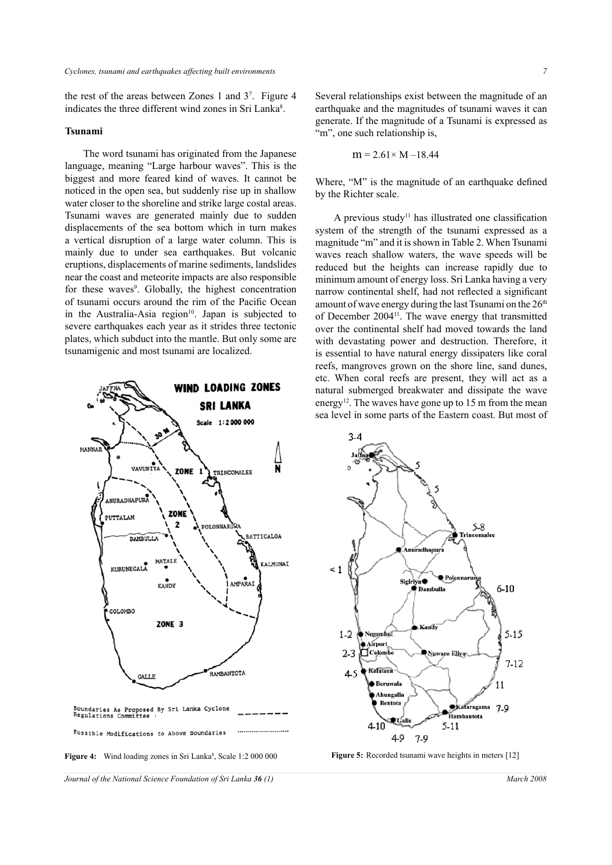the rest of the areas between Zones 1 and 37 . Figure 4 indicates the three different wind zones in Sri Lanka<sup>8</sup>.

#### **Tsunami**

The word tsunami has originated from the Japanese language, meaning "Large harbour waves". This is the biggest and more feared kind of waves. It cannot be noticed in the open sea, but suddenly rise up in shallow water closer to the shoreline and strike large costal areas. Tsunami waves are generated mainly due to sudden displacements of the sea bottom which in turn makes a vertical disruption of a large water column. This is mainly due to under sea earthquakes. But volcanic eruptions, displacements of marine sediments, landslides near the coast and meteorite impacts are also responsible for these waves<sup>9</sup>. Globally, the highest concentration of tsunami occurs around the rim of the Pacific Ocean in the Australia-Asia region $10$ . Japan is subjected to severe earthquakes each year as it strides three tectonic plates, which subduct into the mantle. But only some are tsunamigenic and most tsunami are localized.



Several relationships exist between the magnitude of an earthquake and the magnitudes of tsunami waves it can generate. If the magnitude of a Tsunami is expressed as "m", one such relationship is.

$$
m = 2.61 \times M - 18.44
$$

Where, "M" is the magnitude of an earthquake defined by the Richter scale.

A previous study11 has illustrated one classification system of the strength of the tsunami expressed as a magnitude "m" and it is shown in Table 2. When Tsunami waves reach shallow waters, the wave speeds will be reduced but the heights can increase rapidly due to minimum amount of energy loss. Sri Lanka having a very narrow continental shelf, had not reflected a significant amount of wave energy during the last Tsunami on the  $26<sup>th</sup>$ of December 200411. The wave energy that transmitted over the continental shelf had moved towards the land with devastating power and destruction. Therefore, it is essential to have natural energy dissipaters like coral reefs, mangroves grown on the shore line, sand dunes, etc. When coral reefs are present, they will act as a natural submerged breakwater and dissipate the wave energy<sup>12</sup>. The waves have gone up to 15 m from the mean sea level in some parts of the Eastern coast. But most of



*Journal of the National Science Foundation of Sri Lanka* **36** (1) March 2008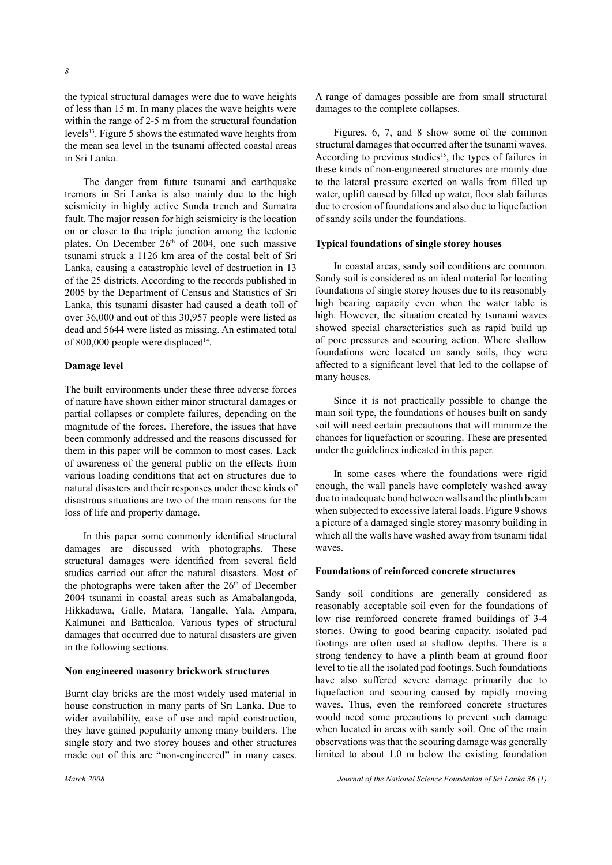the typical structural damages were due to wave heights of less than 15 m. In many places the wave heights were within the range of 2-5 m from the structural foundation levels13. Figure 5 shows the estimated wave heights from the mean sea level in the tsunami affected coastal areas in Sri Lanka.

The danger from future tsunami and earthquake tremors in Sri Lanka is also mainly due to the high seismicity in highly active Sunda trench and Sumatra fault. The major reason for high seismicity is the location on or closer to the triple junction among the tectonic plates. On December  $26<sup>th</sup>$  of 2004, one such massive tsunami struck a 1126 km area of the costal belt of Sri Lanka, causing a catastrophic level of destruction in 13 of the 25 districts. According to the records published in 2005 by the Department of Census and Statistics of Sri Lanka, this tsunami disaster had caused a death toll of over 36,000 and out of this 30,957 people were listed as dead and 5644 were listed as missing. An estimated total of 800,000 people were displaced<sup>14</sup>.

## **Damage level**

The built environments under these three adverse forces of nature have shown either minor structural damages or partial collapses or complete failures, depending on the magnitude of the forces. Therefore, the issues that have been commonly addressed and the reasons discussed for them in this paper will be common to most cases. Lack of awareness of the general public on the effects from various loading conditions that act on structures due to natural disasters and their responses under these kinds of disastrous situations are two of the main reasons for the loss of life and property damage.

In this paper some commonly identified structural damages are discussed with photographs. These structural damages were identified from several field studies carried out after the natural disasters. Most of the photographs were taken after the 26<sup>th</sup> of December 2004 tsunami in coastal areas such as Amabalangoda, Hikkaduwa, Galle, Matara, Tangalle, Yala, Ampara, Kalmunei and Batticaloa. Various types of structural damages that occurred due to natural disasters are given in the following sections.

#### **Non engineered masonry brickwork structures**

Burnt clay bricks are the most widely used material in house construction in many parts of Sri Lanka. Due to wider availability, ease of use and rapid construction, they have gained popularity among many builders. The single story and two storey houses and other structures made out of this are "non-engineered" in many cases.

A range of damages possible are from small structural damages to the complete collapses.

Figures, 6, 7, and 8 show some of the common structural damages that occurred after the tsunami waves. According to previous studies<sup>15</sup>, the types of failures in these kinds of non-engineered structures are mainly due to the lateral pressure exerted on walls from filled up water, uplift caused by filled up water, floor slab failures due to erosion of foundations and also due to liquefaction of sandy soils under the foundations.

# **Typical foundations of single storey houses**

In coastal areas, sandy soil conditions are common. Sandy soil is considered as an ideal material for locating foundations of single storey houses due to its reasonably high bearing capacity even when the water table is high. However, the situation created by tsunami waves showed special characteristics such as rapid build up of pore pressures and scouring action. Where shallow foundations were located on sandy soils, they were affected to a significant level that led to the collapse of many houses.

Since it is not practically possible to change the main soil type, the foundations of houses built on sandy soil will need certain precautions that will minimize the chances for liquefaction or scouring. These are presented under the guidelines indicated in this paper.

In some cases where the foundations were rigid enough, the wall panels have completely washed away due to inadequate bond between walls and the plinth beam when subjected to excessive lateral loads. Figure 9 shows a picture of a damaged single storey masonry building in which all the walls have washed away from tsunami tidal waves.

# **Foundations of reinforced concrete structures**

Sandy soil conditions are generally considered as reasonably acceptable soil even for the foundations of low rise reinforced concrete framed buildings of 3-4 stories. Owing to good bearing capacity, isolated pad footings are often used at shallow depths. There is a strong tendency to have a plinth beam at ground floor level to tie all the isolated pad footings. Such foundations have also suffered severe damage primarily due to liquefaction and scouring caused by rapidly moving waves. Thus, even the reinforced concrete structures would need some precautions to prevent such damage when located in areas with sandy soil. One of the main observations was that the scouring damage was generally limited to about 1.0 m below the existing foundation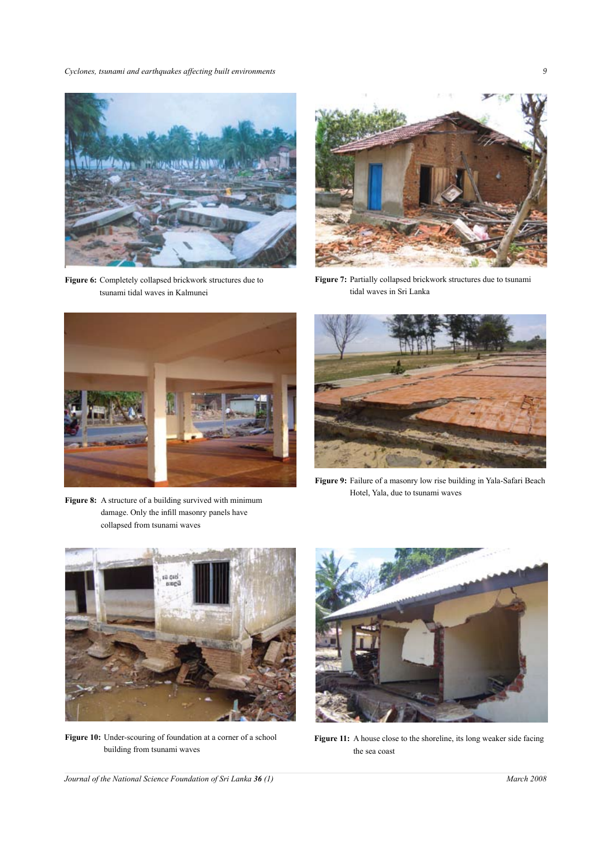*Cyclones, tsunami and earthquakes affecting built environments 9*



**Figure 6:** Completely collapsed brickwork structures due to tsunami tidal waves in Kalmunei



**Figure 7:** Partially collapsed brickwork structures due to tsunami tidal waves in Sri Lanka



Figure 8: A structure of a building survived with minimum damage. Only the infill masonry panels have collapsed from tsunami waves



**Figure 9:** Failure of a masonry low rise building in Yala-Safari Beach Hotel, Yala, due to tsunami waves



**Figure 10:** Under-scouring of foundation at a corner of a school building from tsunami waves



**Figure 11:** A house close to the shoreline, its long weaker side facing the sea coast

*Journal of the National Science Foundation of Sri Lanka* **36** (1) March 2008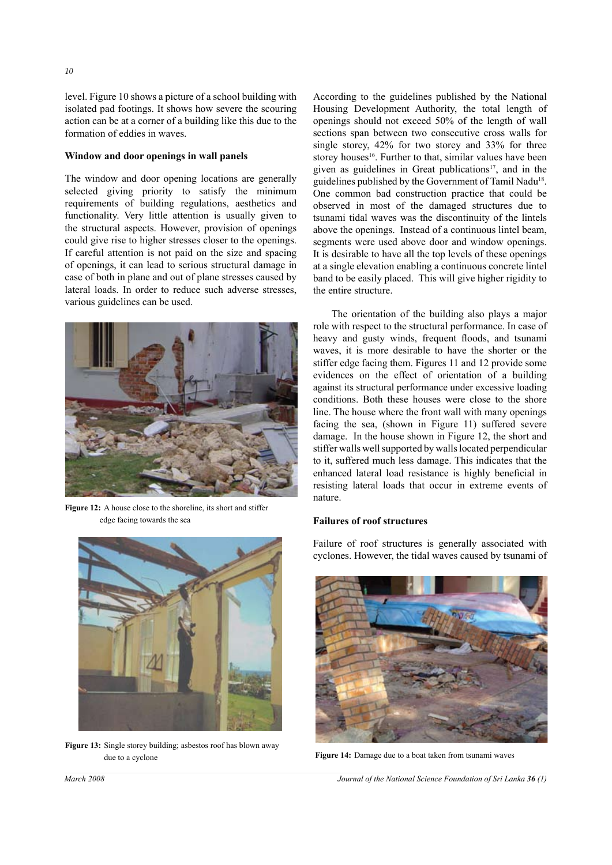level. Figure 10 shows a picture of a school building with isolated pad footings. It shows how severe the scouring action can be at a corner of a building like this due to the formation of eddies in waves.

## **Window and door openings in wall panels**

The window and door opening locations are generally selected giving priority to satisfy the minimum requirements of building regulations, aesthetics and functionality. Very little attention is usually given to the structural aspects. However, provision of openings could give rise to higher stresses closer to the openings. If careful attention is not paid on the size and spacing of openings, it can lead to serious structural damage in case of both in plane and out of plane stresses caused by lateral loads. In order to reduce such adverse stresses, various guidelines can be used.



**Figure 12:** A house close to the shoreline, its short and stiffer edge facing towards the sea

![](_page_7_Picture_5.jpeg)

**Figure 13:** Single storey building; asbestos roof has blown away

According to the guidelines published by the National Housing Development Authority, the total length of openings should not exceed 50% of the length of wall sections span between two consecutive cross walls for single storey, 42% for two storey and 33% for three storey houses<sup>16</sup>. Further to that, similar values have been given as guidelines in Great publications<sup>17</sup>, and in the guidelines published by the Government of Tamil Nadu18. One common bad construction practice that could be observed in most of the damaged structures due to tsunami tidal waves was the discontinuity of the lintels above the openings. Instead of a continuous lintel beam, segments were used above door and window openings. It is desirable to have all the top levels of these openings at a single elevation enabling a continuous concrete lintel band to be easily placed. This will give higher rigidity to the entire structure.

The orientation of the building also plays a major role with respect to the structural performance. In case of heavy and gusty winds, frequent floods, and tsunami waves, it is more desirable to have the shorter or the stiffer edge facing them. Figures 11 and 12 provide some evidences on the effect of orientation of a building against its structural performance under excessive loading conditions. Both these houses were close to the shore line. The house where the front wall with many openings facing the sea, (shown in Figure 11) suffered severe damage. In the house shown in Figure 12, the short and stiffer walls well supported by walls located perpendicular to it, suffered much less damage. This indicates that the enhanced lateral load resistance is highly beneficial in resisting lateral loads that occur in extreme events of nature.

## **Failures of roof structures**

Failure of roof structures is generally associated with cyclones. However, the tidal waves caused by tsunami of

![](_page_7_Picture_11.jpeg)

due to a cyclone **Figure 14:** Damage due to a boat taken from tsunami waves

*March 2008 Journal of the National Science Foundation of Sri Lanka 36 (1)*

*10*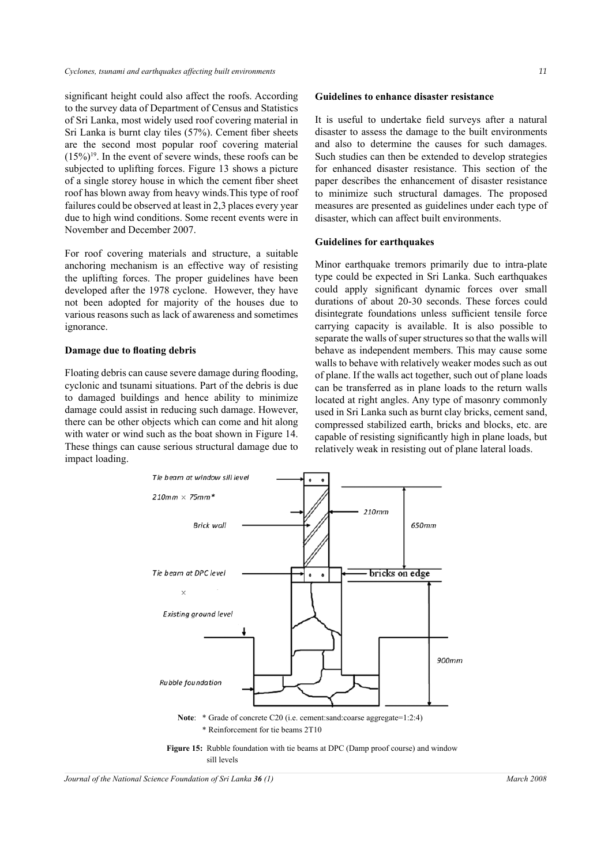significant height could also affect the roofs. According to the survey data of Department of Census and Statistics of Sri Lanka, most widely used roof covering material in Sri Lanka is burnt clay tiles (57%). Cement fiber sheets are the second most popular roof covering material  $(15\%)^{19}$ . In the event of severe winds, these roofs can be subjected to uplifting forces. Figure 13 shows a picture of a single storey house in which the cement fiber sheet roof has blown away from heavy winds.This type of roof failures could be observed at least in 2,3 places every year due to high wind conditions. Some recent events were in November and December 2007.

For roof covering materials and structure, a suitable anchoring mechanism is an effective way of resisting the uplifting forces. The proper guidelines have been developed after the 1978 cyclone. However, they have not been adopted for majority of the houses due to various reasons such as lack of awareness and sometimes ignorance.

#### **Damage due to floating debris**

Floating debris can cause severe damage during flooding, cyclonic and tsunami situations. Part of the debris is due to damaged buildings and hence ability to minimize damage could assist in reducing such damage. However, there can be other objects which can come and hit along with water or wind such as the boat shown in Figure 14. These things can cause serious structural damage due to impact loading.

It is useful to undertake field surveys after a natural disaster to assess the damage to the built environments and also to determine the causes for such damages. Such studies can then be extended to develop strategies for enhanced disaster resistance. This section of the paper describes the enhancement of disaster resistance to minimize such structural damages. The proposed measures are presented as guidelines under each type of disaster, which can affect built environments.

#### **Guidelines for earthquakes**

Minor earthquake tremors primarily due to intra-plate type could be expected in Sri Lanka. Such earthquakes could apply significant dynamic forces over small durations of about 20-30 seconds. These forces could disintegrate foundations unless sufficient tensile force carrying capacity is available. It is also possible to separate the walls of super structures so that the walls will behave as independent members. This may cause some walls to behave with relatively weaker modes such as out of plane. If the walls act together, such out of plane loads can be transferred as in plane loads to the return walls located at right angles. Any type of masonry commonly used in Sri Lanka such as burnt clay bricks, cement sand, compressed stabilized earth, bricks and blocks, etc. are capable of resisting significantly high in plane loads, but relatively weak in resisting out of plane lateral loads.

![](_page_8_Figure_9.jpeg)

*Journal of the National Science Foundation of Sri Lanka* **36** (1) March 2008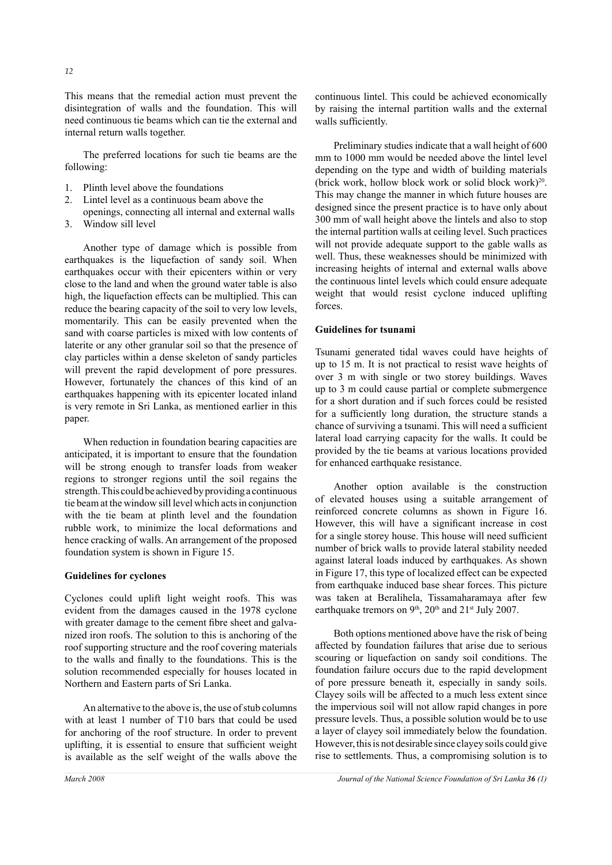This means that the remedial action must prevent the disintegration of walls and the foundation. This will need continuous tie beams which can tie the external and internal return walls together.

The preferred locations for such tie beams are the following:

- 1. Plinth level above the foundations
- 2. Lintel level as a continuous beam above the
- openings, connecting all internal and external walls
- 3. Window sill level

Another type of damage which is possible from earthquakes is the liquefaction of sandy soil. When earthquakes occur with their epicenters within or very close to the land and when the ground water table is also high, the liquefaction effects can be multiplied. This can reduce the bearing capacity of the soil to very low levels, momentarily. This can be easily prevented when the sand with coarse particles is mixed with low contents of laterite or any other granular soil so that the presence of clay particles within a dense skeleton of sandy particles will prevent the rapid development of pore pressures. However, fortunately the chances of this kind of an earthquakes happening with its epicenter located inland is very remote in Sri Lanka, as mentioned earlier in this paper.

When reduction in foundation bearing capacities are anticipated, it is important to ensure that the foundation will be strong enough to transfer loads from weaker regions to stronger regions until the soil regains the strength. This could be achieved by providing a continuous tie beam at the window sill level which acts in conjunction with the tie beam at plinth level and the foundation rubble work, to minimize the local deformations and hence cracking of walls. An arrangement of the proposed foundation system is shown in Figure 15.

#### **Guidelines for cyclones**

Cyclones could uplift light weight roofs. This was evident from the damages caused in the 1978 cyclone with greater damage to the cement fibre sheet and galvanized iron roofs. The solution to this is anchoring of the roof supporting structure and the roof covering materials to the walls and finally to the foundations. This is the solution recommended especially for houses located in Northern and Eastern parts of Sri Lanka.

An alternative to the above is, the use of stub columns with at least 1 number of T10 bars that could be used for anchoring of the roof structure. In order to prevent uplifting, it is essential to ensure that sufficient weight is available as the self weight of the walls above the continuous lintel. This could be achieved economically by raising the internal partition walls and the external walls sufficiently.

Preliminary studies indicate that a wall height of 600 mm to 1000 mm would be needed above the lintel level depending on the type and width of building materials (brick work, hollow block work or solid block work)<sup>20</sup>. This may change the manner in which future houses are designed since the present practice is to have only about 300 mm of wall height above the lintels and also to stop the internal partition walls at ceiling level. Such practices will not provide adequate support to the gable walls as well. Thus, these weaknesses should be minimized with increasing heights of internal and external walls above the continuous lintel levels which could ensure adequate weight that would resist cyclone induced uplifting forces.

#### **Guidelines for tsunami**

Tsunami generated tidal waves could have heights of up to 15 m. It is not practical to resist wave heights of over 3 m with single or two storey buildings. Waves up to 3 m could cause partial or complete submergence for a short duration and if such forces could be resisted for a sufficiently long duration, the structure stands a chance of surviving a tsunami. This will need a sufficient lateral load carrying capacity for the walls. It could be provided by the tie beams at various locations provided for enhanced earthquake resistance.

Another option available is the construction of elevated houses using a suitable arrangement of reinforced concrete columns as shown in Figure 16. However, this will have a significant increase in cost for a single storey house. This house will need sufficient number of brick walls to provide lateral stability needed against lateral loads induced by earthquakes. As shown in Figure 17, this type of localized effect can be expected from earthquake induced base shear forces. This picture was taken at Beralihela, Tissamaharamaya after few earthquake tremors on  $9<sup>th</sup>$ ,  $20<sup>th</sup>$  and  $21<sup>st</sup>$  July 2007.

Both options mentioned above have the risk of being affected by foundation failures that arise due to serious scouring or liquefaction on sandy soil conditions. The foundation failure occurs due to the rapid development of pore pressure beneath it, especially in sandy soils. Clayey soils will be affected to a much less extent since the impervious soil will not allow rapid changes in pore pressure levels. Thus, a possible solution would be to use a layer of clayey soil immediately below the foundation. However, this is not desirable since clayey soils could give rise to settlements. Thus, a compromising solution is to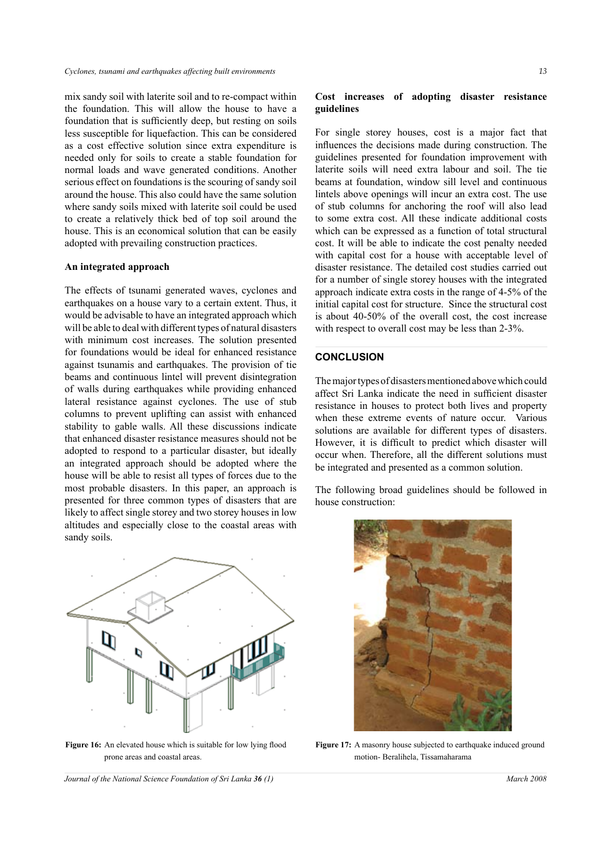mix sandy soil with laterite soil and to re-compact within the foundation. This will allow the house to have a foundation that is sufficiently deep, but resting on soils less susceptible for liquefaction. This can be considered as a cost effective solution since extra expenditure is needed only for soils to create a stable foundation for normal loads and wave generated conditions. Another serious effect on foundations is the scouring of sandy soil around the house. This also could have the same solution where sandy soils mixed with laterite soil could be used to create a relatively thick bed of top soil around the house. This is an economical solution that can be easily adopted with prevailing construction practices.

#### **An integrated approach**

The effects of tsunami generated waves, cyclones and earthquakes on a house vary to a certain extent. Thus, it would be advisable to have an integrated approach which will be able to deal with different types of natural disasters with minimum cost increases. The solution presented for foundations would be ideal for enhanced resistance against tsunamis and earthquakes. The provision of tie beams and continuous lintel will prevent disintegration of walls during earthquakes while providing enhanced lateral resistance against cyclones. The use of stub columns to prevent uplifting can assist with enhanced stability to gable walls. All these discussions indicate that enhanced disaster resistance measures should not be adopted to respond to a particular disaster, but ideally an integrated approach should be adopted where the house will be able to resist all types of forces due to the most probable disasters. In this paper, an approach is presented for three common types of disasters that are likely to affect single storey and two storey houses in low altitudes and especially close to the coastal areas with sandy soils.

![](_page_10_Figure_4.jpeg)

Figure 16: An elevated house which is suitable for low lying flood prone areas and coastal areas.

### **Cost increases of adopting disaster resistance guidelines**

For single storey houses, cost is a major fact that influences the decisions made during construction. The guidelines presented for foundation improvement with laterite soils will need extra labour and soil. The tie beams at foundation, window sill level and continuous lintels above openings will incur an extra cost. The use of stub columns for anchoring the roof will also lead to some extra cost. All these indicate additional costs which can be expressed as a function of total structural cost. It will be able to indicate the cost penalty needed with capital cost for a house with acceptable level of disaster resistance. The detailed cost studies carried out for a number of single storey houses with the integrated approach indicate extra costs in the range of 4-5% of the initial capital cost for structure. Since the structural cost is about 40-50% of the overall cost, the cost increase with respect to overall cost may be less than 2-3%.

#### **CONCLUSION**

The major types of disasters mentioned above which could affect Sri Lanka indicate the need in sufficient disaster resistance in houses to protect both lives and property when these extreme events of nature occur. Various solutions are available for different types of disasters. However, it is difficult to predict which disaster will occur when. Therefore, all the different solutions must be integrated and presented as a common solution.

The following broad guidelines should be followed in house construction:

![](_page_10_Picture_12.jpeg)

**Figure 17:** A masonry house subjected to earthquake induced ground motion- Beralihela, Tissamaharama

*Journal of the National Science Foundation of Sri Lanka* **36** (1) March 2008